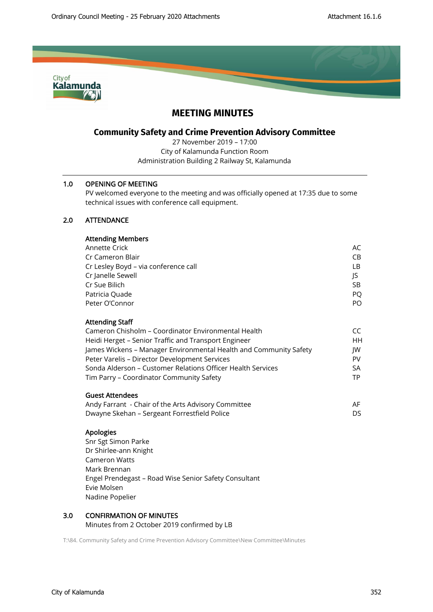

# **MEETING MINUTES**

# **Community Safety and Crime Prevention Advisory Committee**

27 November 2019 – 17:00 City of Kalamunda Function Room Administration Building 2 Railway St, Kalamunda

## 1.0 OPENING OF MEETING

PV welcomed everyone to the meeting and was officially opened at 17:35 due to some technical issues with conference call equipment.

# 2.0 ATTENDANCE

| <b>Attending Members</b> |  |
|--------------------------|--|
| Annotto Crick            |  |

| Annette Crick                                        | AC  |
|------------------------------------------------------|-----|
| Cr Cameron Blair                                     | CB. |
| Cr Lesley Boyd - via conference call                 | LB. |
| Cr Janelle Sewell                                    | JS  |
| Cr Sue Bilich                                        | SB. |
| Patricia Quade                                       | PO. |
| Peter O'Connor                                       | PO. |
|                                                      |     |
| <b>Attending Staff</b>                               |     |
| Cameron Chisholm – Coordinator Environmental Health  | CC. |
| Heidi Herget – Senior Traffic and Transport Engineer | HН  |
|                                                      |     |

| James Wickens - Manager Environmental Health and Community Safety | IW  |
|-------------------------------------------------------------------|-----|
| Peter Varelis – Director Development Services                     | PV  |
| Sonda Alderson – Customer Relations Officer Health Services       | SA. |
| Tim Parry – Coordinator Community Safety                          | TP  |
|                                                                   |     |

# Guest Attendees

| Andy Farrant  - Chair of the Arts Advisory Committee | AF. |
|------------------------------------------------------|-----|
| Dwayne Skehan – Sergeant Forrestfield Police         | DS  |

## Apologies

Snr Sgt Simon Parke Dr Shirlee-ann Knight Cameron Watts Mark Brennan Engel Prendegast – Road Wise Senior Safety Consultant Evie Molsen Nadine Popelier

# 3.0 CONFIRMATION OF MINUTES

Minutes from 2 October 2019 confirmed by LB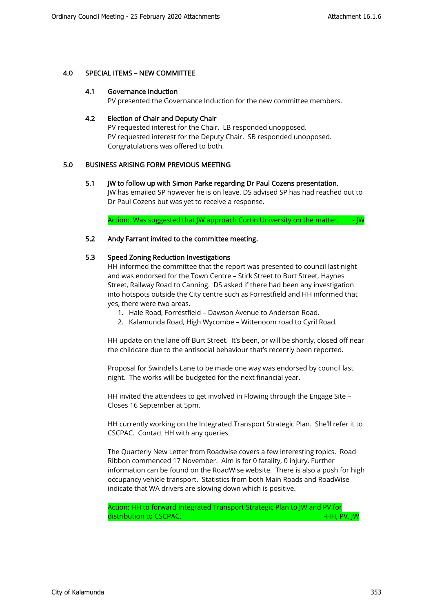## 4.0 SPECIAL ITEMS – NEW COMMITTEE

#### 4.1 Governance Induction

PV presented the Governance Induction for the new committee members.

## 4.2 Election of Chair and Deputy Chair

PV requested interest for the Chair. LB responded unopposed. PV requested interest for the Deputy Chair. SB responded unopposed. Congratulations was offered to both.

## 5.0 BUSINESS ARISING FORM PREVIOUS MEETING

## 5.1 JW to follow up with Simon Parke regarding Dr Paul Cozens presentation.

JW has emailed SP however he is on leave. DS advised SP has had reached out to Dr Paul Cozens but was yet to receive a response.

Action: Was suggested that JW approach Curtin University on the matter. - JW

## 5.2 Andy Farrant invited to the committee meeting.

## 5.3 Speed Zoning Reduction Investigations

HH informed the committee that the report was presented to council last night and was endorsed for the Town Centre – Stirk Street to Burt Street, Haynes Street, Railway Road to Canning. DS asked if there had been any investigation into hotspots outside the City centre such as Forrestfield and HH informed that yes, there were two areas.

- 1. Hale Road, Forrestfield Dawson Avenue to Anderson Road.
- 2. Kalamunda Road, High Wycombe Wittenoom road to Cyril Road.

HH update on the lane off Burt Street. It's been, or will be shortly, closed off near the childcare due to the antisocial behaviour that's recently been reported.

Proposal for Swindells Lane to be made one way was endorsed by council last night. The works will be budgeted for the next financial year.

HH invited the attendees to get involved in Flowing through the Engage Site – Closes 16 September at 5pm.

HH currently working on the Integrated Transport Strategic Plan. She'll refer it to CSCPAC. Contact HH with any queries.

The Quarterly New Letter from Roadwise covers a few interesting topics. Road Ribbon commenced 17 November. Aim is for 0 fatality, 0 injury. Further information can be found on the RoadWise website. There is also a push for high occupancy vehicle transport. Statistics from both Main Roads and RoadWise indicate that WA drivers are slowing down which is positive.

Action: HH to forward Integrated Transport Strategic Plan to JW and PV for distribution to CSCPAC. And the control of the control of the control of the control of the control of the control of the control of the control of the control of the control of the control of the control of the control of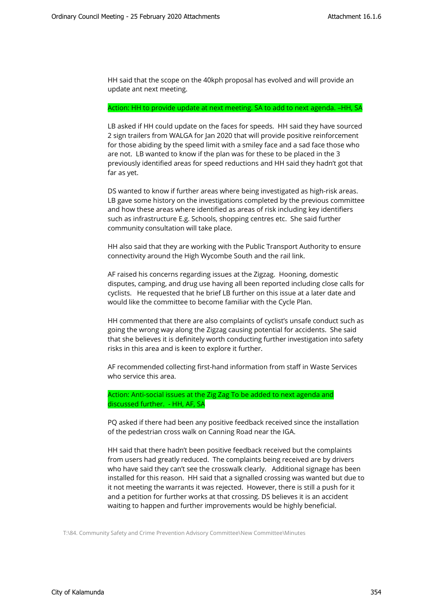HH said that the scope on the 40kph proposal has evolved and will provide an update ant next meeting.

#### Action: HH to provide update at next meeting. SA to add to next agenda. –HH, SA

LB asked if HH could update on the faces for speeds. HH said they have sourced 2 sign trailers from WALGA for Jan 2020 that will provide positive reinforcement for those abiding by the speed limit with a smiley face and a sad face those who are not. LB wanted to know if the plan was for these to be placed in the 3 previously identified areas for speed reductions and HH said they hadn't got that far as yet.

DS wanted to know if further areas where being investigated as high-risk areas. LB gave some history on the investigations completed by the previous committee and how these areas where identified as areas of risk including key identifiers such as infrastructure E.g. Schools, shopping centres etc. She said further community consultation will take place.

HH also said that they are working with the Public Transport Authority to ensure connectivity around the High Wycombe South and the rail link.

AF raised his concerns regarding issues at the Zigzag. Hooning, domestic disputes, camping, and drug use having all been reported including close calls for cyclists. He requested that he brief LB further on this issue at a later date and would like the committee to become familiar with the Cycle Plan.

HH commented that there are also complaints of cyclist's unsafe conduct such as going the wrong way along the Zigzag causing potential for accidents. She said that she believes it is definitely worth conducting further investigation into safety risks in this area and is keen to explore it further.

AF recommended collecting first-hand information from staff in Waste Services who service this area.

Action: Anti-social issues at the Zig Zag To be added to next agenda and discussed further. - HH, AF, SA

PQ asked if there had been any positive feedback received since the installation of the pedestrian cross walk on Canning Road near the IGA.

HH said that there hadn't been positive feedback received but the complaints from users had greatly reduced. The complaints being received are by drivers who have said they can't see the crosswalk clearly. Additional signage has been installed for this reason. HH said that a signalled crossing was wanted but due to it not meeting the warrants it was rejected. However, there is still a push for it and a petition for further works at that crossing. DS believes it is an accident waiting to happen and further improvements would be highly beneficial.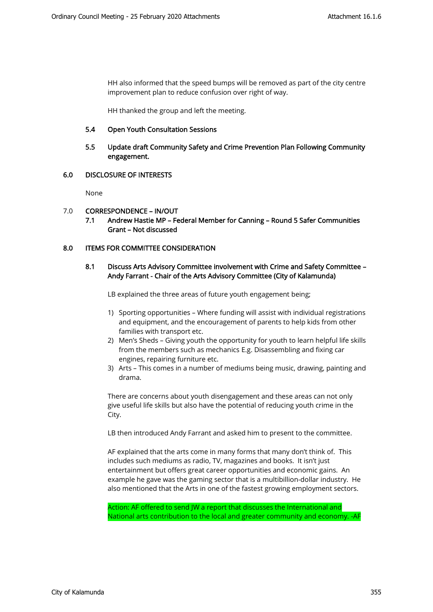HH also informed that the speed bumps will be removed as part of the city centre improvement plan to reduce confusion over right of way.

HH thanked the group and left the meeting.

#### 5.4 Open Youth Consultation Sessions

5.5 Update draft Community Safety and Crime Prevention Plan Following Community engagement.

## 6.0 DISCLOSURE OF INTERESTS

None

## 7.0 CORRESPONDENCE – IN/OUT

7.1 Andrew Hastie MP – Federal Member for Canning – Round 5 Safer Communities Grant – Not discussed

## 8.0 ITEMS FOR COMMITTEE CONSIDERATION

# 8.1 Discuss Arts Advisory Committee involvement with Crime and Safety Committee – Andy Farrant - Chair of the Arts Advisory Committee (City of Kalamunda)

LB explained the three areas of future youth engagement being;

- 1) Sporting opportunities Where funding will assist with individual registrations and equipment, and the encouragement of parents to help kids from other families with transport etc.
- 2) Men's Sheds Giving youth the opportunity for youth to learn helpful life skills from the members such as mechanics E.g. Disassembling and fixing car engines, repairing furniture etc.
- 3) Arts This comes in a number of mediums being music, drawing, painting and drama.

There are concerns about youth disengagement and these areas can not only give useful life skills but also have the potential of reducing youth crime in the City.

LB then introduced Andy Farrant and asked him to present to the committee.

AF explained that the arts come in many forms that many don't think of. This includes such mediums as radio, TV, magazines and books. It isn't just entertainment but offers great career opportunities and economic gains. An example he gave was the gaming sector that is a multibillion-dollar industry. He also mentioned that the Arts in one of the fastest growing employment sectors.

Action: AF offered to send JW a report that discusses the International and National arts contribution to the local and greater community and economy. -AF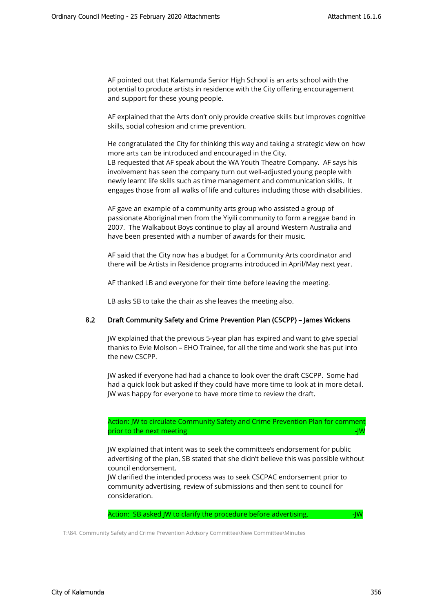AF pointed out that Kalamunda Senior High School is an arts school with the potential to produce artists in residence with the City offering encouragement and support for these young people.

AF explained that the Arts don't only provide creative skills but improves cognitive skills, social cohesion and crime prevention.

He congratulated the City for thinking this way and taking a strategic view on how more arts can be introduced and encouraged in the City.

LB requested that AF speak about the WA Youth Theatre Company. AF says his involvement has seen the company turn out well-adjusted young people with newly learnt life skills such as time management and communication skills. It engages those from all walks of life and cultures including those with disabilities.

AF gave an example of a community arts group who assisted a group of passionate Aboriginal men from the Yiyili community to form a reggae band in 2007. The Walkabout Boys continue to play all around Western Australia and have been presented with a number of awards for their music.

AF said that the City now has a budget for a Community Arts coordinator and there will be Artists in Residence programs introduced in April/May next year.

AF thanked LB and everyone for their time before leaving the meeting.

LB asks SB to take the chair as she leaves the meeting also.

## 8.2 Draft Community Safety and Crime Prevention Plan (CSCPP) – James Wickens

JW explained that the previous 5-year plan has expired and want to give special thanks to Evie Molson – EHO Trainee, for all the time and work she has put into the new CSCPP.

JW asked if everyone had had a chance to look over the draft CSCPP. Some had had a quick look but asked if they could have more time to look at in more detail. JW was happy for everyone to have more time to review the draft.

Action: JW to circulate Community Safety and Crime Prevention Plan for comment prior to the next meeting -JW and the next meeting -JW and the next meeting -JW and the next meeting -JW and the next meeting -JW and the next meeting -JW and the next meeting -JW and the next meeting -JW and the next meet

JW explained that intent was to seek the committee's endorsement for public advertising of the plan, SB stated that she didn't believe this was possible without council endorsement.

JW clarified the intended process was to seek CSCPAC endorsement prior to community advertising, review of submissions and then sent to council for consideration.

Action: SB asked JW to clarify the procedure before advertising.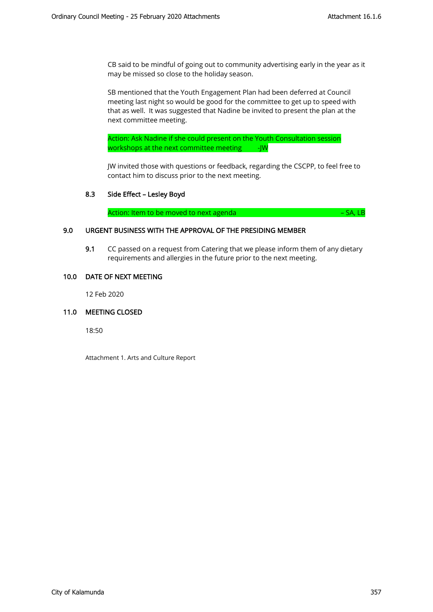CB said to be mindful of going out to community advertising early in the year as it may be missed so close to the holiday season.

SB mentioned that the Youth Engagement Plan had been deferred at Council meeting last night so would be good for the committee to get up to speed with that as well. It was suggested that Nadine be invited to present the plan at the next committee meeting.

Action: Ask Nadine if she could present on the Youth Consultation session workshops at the next committee meeting -JW

JW invited those with questions or feedback, regarding the CSCPP, to feel free to contact him to discuss prior to the next meeting.

## 8.3 Side Effect – Lesley Boyd

Action: Item to be moved to next agenda **Figure 10** and the set of the SA, LB

## 9.0 URGENT BUSINESS WITH THE APPROVAL OF THE PRESIDING MEMBER

9.1 CC passed on a request from Catering that we please inform them of any dietary requirements and allergies in the future prior to the next meeting.

## 10.0 DATE OF NEXT MEETING

12 Feb 2020

## 11.0 MEETING CLOSED

18:50

Attachment 1. Arts and Culture Report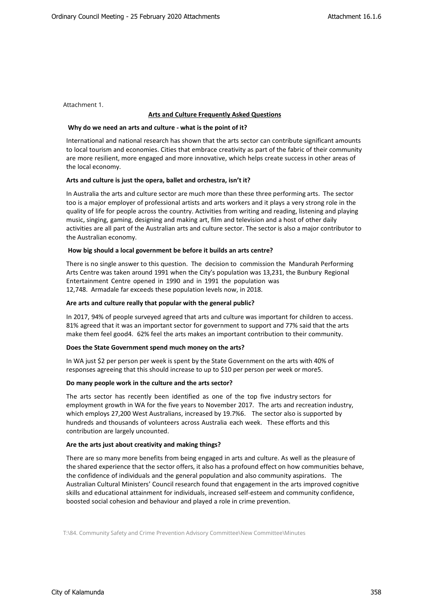Attachment 1.

#### **Arts and Culture Frequently Asked Questions**

#### **Why do we need an arts and culture - what is the point of it?**

International and national research has shown that the arts sector can contribute significant amounts to local tourism and economies. Cities that embrace creativity as part of the fabric of their community are more resilient, more engaged and more innovative, which helps create success in other areas of the local economy.

#### **Arts and culture is just the opera, ballet and orchestra, isn't it?**

In Australia the arts and culture sector are much more than these three performing arts. The sector too is a major employer of professional artists and arts workers and it plays a very strong role in the quality of life for people across the country. Activities from writing and reading, listening and playing music, singing, gaming, designing and making art, film and television and a host of other daily activities are all part of the Australian arts and culture sector. The sector is also a major contributor to the Australian economy.

#### **How big should a local government be before it builds an arts centre?**

There is no single answer to this question. The decision to commission the Mandurah Performing Arts Centre was taken around 1991 when the City's population was 13,231, the Bunbury Regional Entertainment Centre opened in 1990 and in 1991 the population was 12,748. Armadale far exceeds these population levels now, in 2018.

#### **Are arts and culture really that popular with the general public?**

In 2017, 94% of people surveyed agreed that arts and culture was important for children to access. 81% agreed that it was an important sector for government to support and 77% said that the arts make them feel good4. 62% feel the arts makes an important contribution to their community.

#### **Does the State Government spend much money on the arts?**

In WA just \$2 per person per week is spent by the State Government on the arts with 40% of responses agreeing that this should increase to up to \$10 per person per week or more5.

#### **Do many people work in the culture and the arts sector?**

The arts sector has recently been identified as one of the top five industry sectors for employment growth in WA for the five years to November 2017. The arts and recreation industry, which employs 27,200 West Australians, increased by 19.7%6. The sector also is supported by hundreds and thousands of volunteers across Australia each week. These efforts and this contribution are largely uncounted.

#### **Are the arts just about creativity and making things?**

There are so many more benefits from being engaged in arts and culture. As well as the pleasure of the shared experience that the sector offers, it also has a profound effect on how communities behave, the confidence of individuals and the general population and also community aspirations. The Australian Cultural Ministers' Council research found that engagement in the arts improved cognitive skills and educational attainment for individuals, increased self-esteem and community confidence, boosted social cohesion and behaviour and played a role in crime prevention.